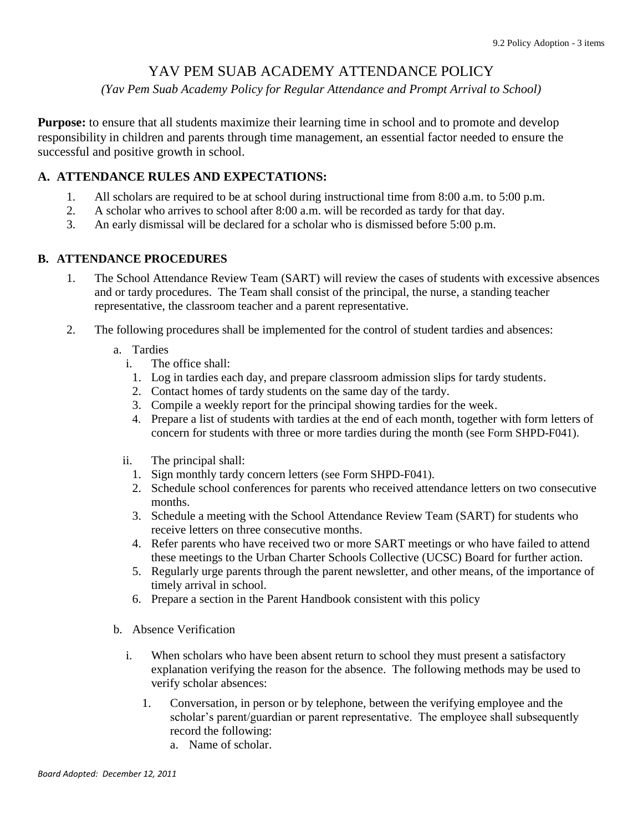## YAV PEM SUAB ACADEMY ATTENDANCE POLICY

*(Yav Pem Suab Academy Policy for Regular Attendance and Prompt Arrival to School)*

**Purpose:** to ensure that all students maximize their learning time in school and to promote and develop responsibility in children and parents through time management, an essential factor needed to ensure the successful and positive growth in school.

## **A. ATTENDANCE RULES AND EXPECTATIONS:**

- 1. All scholars are required to be at school during instructional time from 8:00 a.m. to 5:00 p.m.
- 2. A scholar who arrives to school after 8:00 a.m. will be recorded as tardy for that day.
- 3. An early dismissal will be declared for a scholar who is dismissed before 5:00 p.m.

## **B. ATTENDANCE PROCEDURES**

- 1. The School Attendance Review Team (SART) will review the cases of students with excessive absences and or tardy procedures. The Team shall consist of the principal, the nurse, a standing teacher representative, the classroom teacher and a parent representative.
- 2. The following procedures shall be implemented for the control of student tardies and absences:
	- a. Tardies
		- i. The office shall:
			- 1. Log in tardies each day, and prepare classroom admission slips for tardy students.
			- 2. Contact homes of tardy students on the same day of the tardy.
			- 3. Compile a weekly report for the principal showing tardies for the week.
			- 4. Prepare a list of students with tardies at the end of each month, together with form letters of concern for students with three or more tardies during the month (see Form SHPD-F041).
		- ii. The principal shall:
			- 1. Sign monthly tardy concern letters (see Form SHPD-F041).
			- 2. Schedule school conferences for parents who received attendance letters on two consecutive months.
			- 3. Schedule a meeting with the School Attendance Review Team (SART) for students who receive letters on three consecutive months.
			- 4. Refer parents who have received two or more SART meetings or who have failed to attend these meetings to the Urban Charter Schools Collective (UCSC) Board for further action.
			- 5. Regularly urge parents through the parent newsletter, and other means, of the importance of timely arrival in school.
			- 6. Prepare a section in the Parent Handbook consistent with this policy
	- b. Absence Verification
		- i. When scholars who have been absent return to school they must present a satisfactory explanation verifying the reason for the absence. The following methods may be used to verify scholar absences:
			- 1. Conversation, in person or by telephone, between the verifying employee and the scholar's parent/guardian or parent representative. The employee shall subsequently record the following:
				- a. Name of scholar.